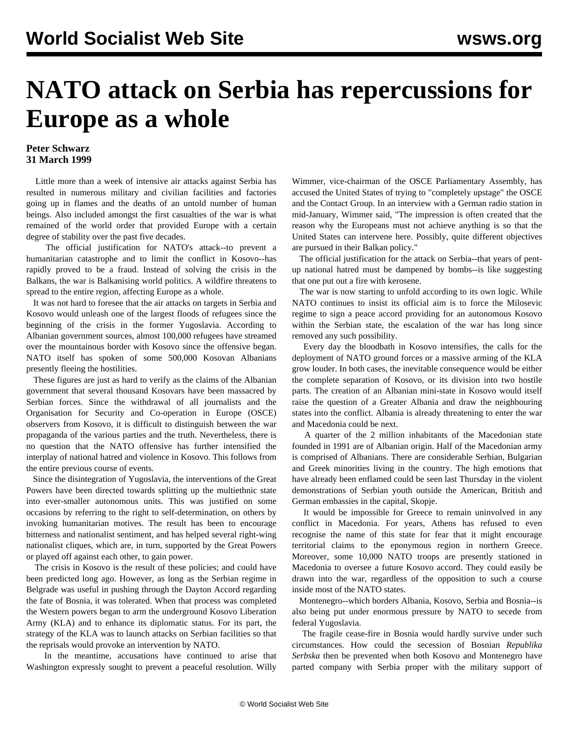## **NATO attack on Serbia has repercussions for Europe as a whole**

## **Peter Schwarz 31 March 1999**

 Little more than a week of intensive air attacks against Serbia has resulted in numerous military and civilian facilities and factories going up in flames and the deaths of an untold number of human beings. Also included amongst the first casualties of the war is what remained of the world order that provided Europe with a certain degree of stability over the past five decades.

 The official justification for NATO's attack--to prevent a humanitarian catastrophe and to limit the conflict in Kosovo--has rapidly proved to be a fraud. Instead of solving the crisis in the Balkans, the war is Balkanising world politics. A wildfire threatens to spread to the entire region, affecting Europe as a whole.

 It was not hard to foresee that the air attacks on targets in Serbia and Kosovo would unleash one of the largest floods of refugees since the beginning of the crisis in the former Yugoslavia. According to Albanian government sources, almost 100,000 refugees have streamed over the mountainous border with Kosovo since the offensive began. NATO itself has spoken of some 500,000 Kosovan Albanians presently fleeing the hostilities.

 These figures are just as hard to verify as the claims of the Albanian government that several thousand Kosovars have been massacred by Serbian forces. Since the withdrawal of all journalists and the Organisation for Security and Co-operation in Europe (OSCE) observers from Kosovo, it is difficult to distinguish between the war propaganda of the various parties and the truth. Nevertheless, there is no question that the NATO offensive has further intensified the interplay of national hatred and violence in Kosovo. This follows from the entire previous course of events.

 Since the disintegration of Yugoslavia, the interventions of the Great Powers have been directed towards splitting up the multiethnic state into ever-smaller autonomous units. This was justified on some occasions by referring to the right to self-determination, on others by invoking humanitarian motives. The result has been to encourage bitterness and nationalist sentiment, and has helped several right-wing nationalist cliques, which are, in turn, supported by the Great Powers or played off against each other, to gain power.

 The crisis in Kosovo is the result of these policies; and could have been predicted long ago. However, as long as the Serbian regime in Belgrade was useful in pushing through the Dayton Accord regarding the fate of Bosnia, it was tolerated. When that process was completed the Western powers began to arm the underground Kosovo Liberation Army (KLA) and to enhance its diplomatic status. For its part, the strategy of the KLA was to launch attacks on Serbian facilities so that the reprisals would provoke an intervention by NATO.

 In the meantime, accusations have continued to arise that Washington expressly sought to prevent a peaceful resolution. Willy Wimmer, vice-chairman of the OSCE Parliamentary Assembly, has accused the United States of trying to "completely upstage" the OSCE and the Contact Group. In an interview with a German radio station in mid-January, Wimmer said, "The impression is often created that the reason why the Europeans must not achieve anything is so that the United States can intervene here. Possibly, quite different objectives are pursued in their Balkan policy."

 The official justification for the attack on Serbia--that years of pentup national hatred must be dampened by bombs--is like suggesting that one put out a fire with kerosene.

 The war is now starting to unfold according to its own logic. While NATO continues to insist its official aim is to force the Milosevic regime to sign a peace accord providing for an autonomous Kosovo within the Serbian state, the escalation of the war has long since removed any such possibility.

 Every day the bloodbath in Kosovo intensifies, the calls for the deployment of NATO ground forces or a massive arming of the KLA grow louder. In both cases, the inevitable consequence would be either the complete separation of Kosovo, or its division into two hostile parts. The creation of an Albanian mini-state in Kosovo would itself raise the question of a Greater Albania and draw the neighbouring states into the conflict. Albania is already threatening to enter the war and Macedonia could be next.

 A quarter of the 2 million inhabitants of the Macedonian state founded in 1991 are of Albanian origin. Half of the Macedonian army is comprised of Albanians. There are considerable Serbian, Bulgarian and Greek minorities living in the country. The high emotions that have already been enflamed could be seen last Thursday in the violent demonstrations of Serbian youth outside the American, British and German embassies in the capital, Skopje.

 It would be impossible for Greece to remain uninvolved in any conflict in Macedonia. For years, Athens has refused to even recognise the name of this state for fear that it might encourage territorial claims to the eponymous region in northern Greece. Moreover, some 10,000 NATO troops are presently stationed in Macedonia to oversee a future Kosovo accord. They could easily be drawn into the war, regardless of the opposition to such a course inside most of the NATO states.

 Montenegro--which borders Albania, Kosovo, Serbia and Bosnia--is also being put under enormous pressure by NATO to secede from federal Yugoslavia.

 The fragile cease-fire in Bosnia would hardly survive under such circumstances. How could the secession of Bosnian *Republika Serbska* then be prevented when both Kosovo and Montenegro have parted company with Serbia proper with the military support of